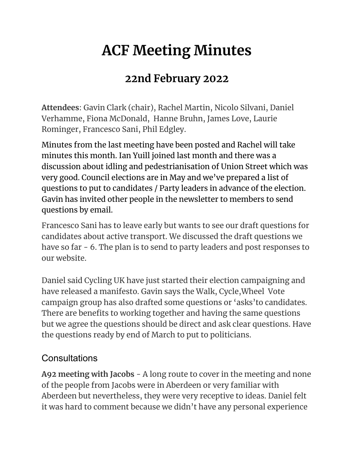## **ACF Meeting Minutes**

## **22nd February 2022**

**Attendees**: Gavin Clark (chair), Rachel Martin, Nicolo Silvani, Daniel Verhamme, Fiona McDonald, Hanne Bruhn, James Love, Laurie Rominger, Francesco Sani, Phil Edgley.

Minutes from the last meeting have been posted and Rachel will take minutes this month. Ian Yuill joined last month and there was a discussion about idling and pedestrianisation of Union Street which was very good. Council elections are in May and we've prepared a list of questions to put to candidates / Party leaders in advance of the election. Gavin has invited other people in the newsletter to members to send questions by email.

Francesco Sani has to leave early but wants to see our draft questions for candidates about active transport. We discussed the draft questions we have so far - 6. The plan is to send to party leaders and post responses to our website.

Daniel said Cycling UK have just started their election campaigning and have released a manifesto. Gavin says the Walk, Cycle,Wheel Vote campaign group has also drafted some questions or 'asks'to candidates. There are benefits to working together and having the same questions but we agree the questions should be direct and ask clear questions. Have the questions ready by end of March to put to politicians.

## **Consultations**

**A92 meeting with Jacobs** - A long route to cover in the meeting and none of the people from Jacobs were in Aberdeen or very familiar with Aberdeen but nevertheless, they were very receptive to ideas. Daniel felt it was hard to comment because we didn't have any personal experience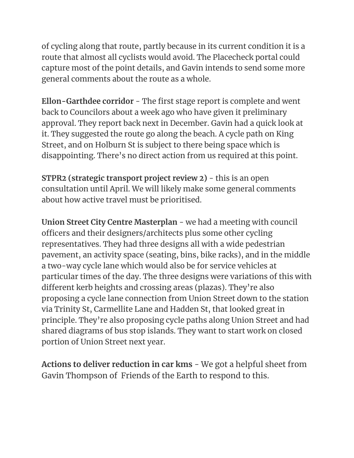of cycling along that route, partly because in its current condition it is a route that almost all cyclists would avoid. The Placecheck portal could capture most of the point details, and Gavin intends to send some more general comments about the route as a whole.

**Ellon-Garthdee corridor** - The first stage report is complete and went back to Councilors about a week ago who have given it preliminary approval. They report back next in December. Gavin had a quick look at it. They suggested the route go along the beach. A cycle path on King Street, and on Holburn St is subject to there being space which is disappointing. There's no direct action from us required at this point.

**STPR2 (strategic transport project review 2)** - this is an open consultation until April. We will likely make some general comments about how active travel must be prioritised.

**Union Street City Centre Masterplan** - we had a meeting with council officers and their designers/architects plus some other cycling representatives. They had three designs all with a wide pedestrian pavement, an activity space (seating, bins, bike racks), and in the middle a two-way cycle lane which would also be for service vehicles at particular times of the day. The three designs were variations of this with different kerb heights and crossing areas (plazas). They're also proposing a cycle lane connection from Union Street down to the station via Trinity St, Carmellite Lane and Hadden St, that looked great in principle. They're also proposing cycle paths along Union Street and had shared diagrams of bus stop islands. They want to start work on closed portion of Union Street next year.

**Actions to deliver reduction in car kms** - We got a helpful sheet from Gavin Thompson of Friends of the Earth to respond to this.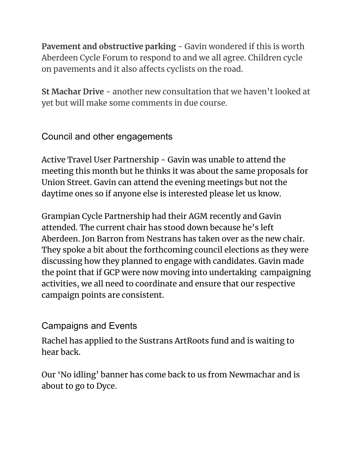**Pavement and obstructive parking** - Gavin wondered if this is worth Aberdeen Cycle Forum to respond to and we all agree. Children cycle on pavements and it also affects cyclists on the road.

**St Machar Drive** - another new consultation that we haven't looked at yet but will make some comments in due course.

Council and other engagements

Active Travel User Partnership - Gavin was unable to attend the meeting this month but he thinks it was about the same proposals for Union Street. Gavin can attend the evening meetings but not the daytime ones so if anyone else is interested please let us know.

Grampian Cycle Partnership had their AGM recently and Gavin attended. The current chair has stood down because he's left Aberdeen. Jon Barron from Nestrans has taken over as the new chair. They spoke a bit about the forthcoming council elections as they were discussing how they planned to engage with candidates. Gavin made the point that if GCP were now moving into undertaking campaigning activities, we all need to coordinate and ensure that our respective campaign points are consistent.

Campaigns and Events

Rachel has applied to the Sustrans ArtRoots fund and is waiting to hear back.

Our 'No idling' banner has come back to us from Newmachar and is about to go to Dyce.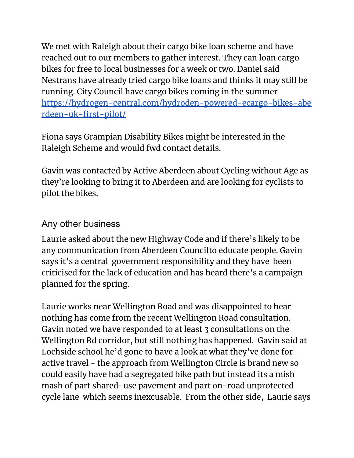We met with Raleigh about their cargo bike loan scheme and have reached out to our members to gather interest. They can loan cargo bikes for free to local businesses for a week or two. Daniel said Nestrans have already tried cargo bike loans and thinks it may still be running. City Council have cargo bikes coming in the summer [https://hydrogen-central.com/hydroden-powered-ecargo-bikes-abe](https://hydrogen-central.com/hydroden-powered-ecargo-bikes-aberdeen-uk-first-pilot/) [rdeen-uk-first-pilot/](https://hydrogen-central.com/hydroden-powered-ecargo-bikes-aberdeen-uk-first-pilot/)

Fiona says Grampian Disability Bikes might be interested in the Raleigh Scheme and would fwd contact details.

Gavin was contacted by Active Aberdeen about Cycling without Age as they're looking to bring it to Aberdeen and are looking for cyclists to pilot the bikes.

## Any other business

Laurie asked about the new Highway Code and if there's likely to be any communication from Aberdeen Councilto educate people. Gavin says it's a central government responsibility and they have been criticised for the lack of education and has heard there's a campaign planned for the spring.

Laurie works near Wellington Road and was disappointed to hear nothing has come from the recent Wellington Road consultation. Gavin noted we have responded to at least 3 consultations on the Wellington Rd corridor, but still nothing has happened. Gavin said at Lochside school he'd gone to have a look at what they've done for active travel - the approach from Wellington Circle is brand new so could easily have had a segregated bike path but instead its a mish mash of part shared-use pavement and part on-road unprotected cycle lane which seems inexcusable. From the other side, Laurie says